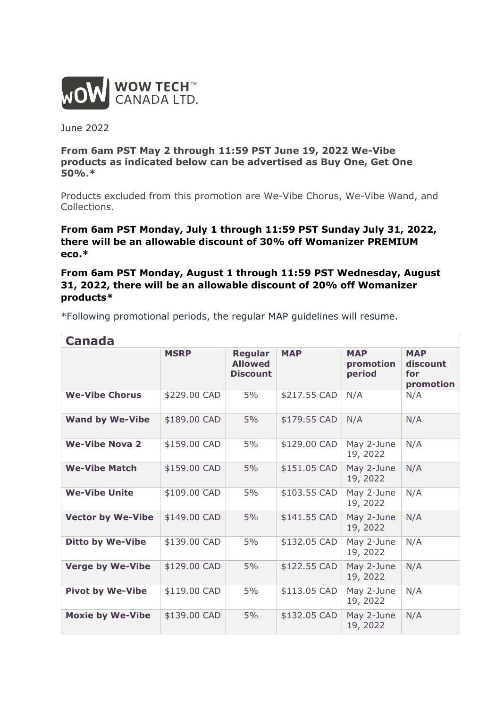

June 2022

## **From 6am PST May 2 through 11:59 PST June 19, 2022 We-Vibe products as indicated below can be advertised as Buy One, Get One 50%.\***

Products excluded from this promotion are We-Vibe Chorus, We-Vibe Wand, and Collections.

**From 6am PST Monday, July 1 through 11:59 PST Sunday July 31, 2022, there will be an allowable discount of 30% off Womanizer PREMIUM eco.\***

## **From 6am PST Monday, August 1 through 11:59 PST Wednesday, August 31, 2022, there will be an allowable discount of 20% off Womanizer products\***

\*Following promotional periods, the regular MAP guidelines will resume.

| Canada                   |              |                                                     |              |                                   |                                            |  |  |  |
|--------------------------|--------------|-----------------------------------------------------|--------------|-----------------------------------|--------------------------------------------|--|--|--|
|                          | <b>MSRP</b>  | <b>Regular</b><br><b>Allowed</b><br><b>Discount</b> | <b>MAP</b>   | <b>MAP</b><br>promotion<br>period | <b>MAP</b><br>discount<br>for<br>promotion |  |  |  |
| <b>We-Vibe Chorus</b>    | \$229.00 CAD | 5%                                                  | \$217.55 CAD | N/A                               | N/A                                        |  |  |  |
| <b>Wand by We-Vibe</b>   | \$189.00 CAD | 5%                                                  | \$179.55 CAD | N/A                               | N/A                                        |  |  |  |
| <b>We-Vibe Nova 2</b>    | \$159.00 CAD | 5%                                                  | \$129.00 CAD | May 2-June<br>19, 2022            | N/A                                        |  |  |  |
| <b>We-Vibe Match</b>     | \$159.00 CAD | 5%                                                  | \$151.05 CAD | May 2-June<br>19, 2022            | N/A                                        |  |  |  |
| <b>We-Vibe Unite</b>     | \$109.00 CAD | 5%                                                  | \$103.55 CAD | May 2-June<br>19, 2022            | N/A                                        |  |  |  |
| <b>Vector by We-Vibe</b> | \$149.00 CAD | 5%                                                  | \$141.55 CAD | May 2-June<br>19, 2022            | N/A                                        |  |  |  |
| <b>Ditto by We-Vibe</b>  | \$139.00 CAD | 5%                                                  | \$132.05 CAD | May 2-June<br>19, 2022            | N/A                                        |  |  |  |
| <b>Verge by We-Vibe</b>  | \$129.00 CAD | 5%                                                  | \$122.55 CAD | May 2-June<br>19, 2022            | N/A                                        |  |  |  |
| <b>Pivot by We-Vibe</b>  | \$119.00 CAD | 5%                                                  | \$113.05 CAD | May 2-June<br>19, 2022            | N/A                                        |  |  |  |
| <b>Moxie by We-Vibe</b>  | \$139.00 CAD | 5%                                                  | \$132.05 CAD | May 2-June<br>19, 2022            | N/A                                        |  |  |  |